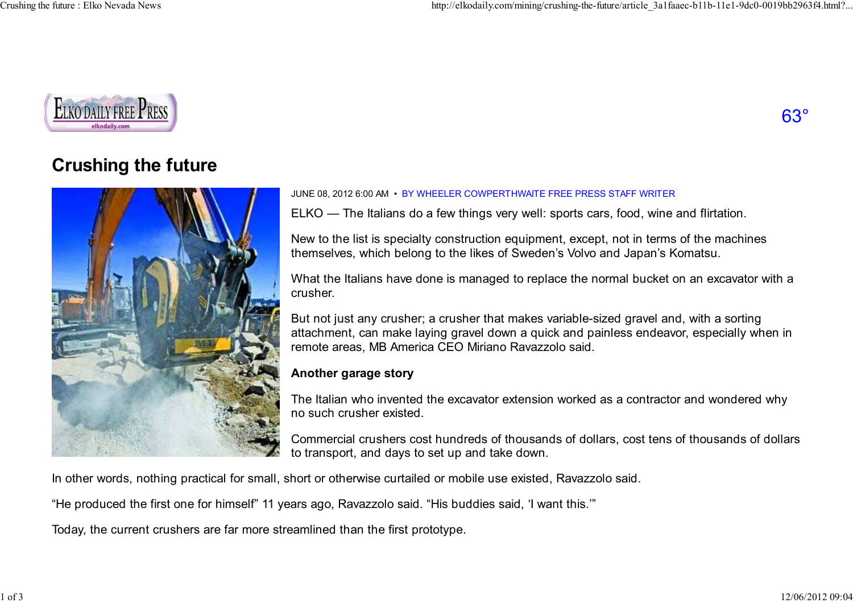

# 63°

## **Crushing the future**



#### JUNE 08, 2012 6:00 AM • BY WHEELER COWPERTHWAITE FREE PRESS STAFF WRITER

ELKO — The Italians do a few things very well: sports cars, food, wine and flirtation.

New to the list is specialty construction equipment, except, not in terms of the machinesthemselves, which belong to the likes of Sweden's Volvo and Japan's Komatsu.

What the Italians have done is managed to replace the normal bucket on an excavator with acrusher.

But not just any crusher; a crusher that makes variable-sized gravel and, with a sorting attachment, can make laying gravel down a quick and painless endeavor, especially when inremote areas, MB America CEO Miriano Ravazzolo said.

#### **Another garage story**

The Italian who invented the excavator extension worked as a contractor and wondered whyno such crusher existed.

Commercial crushers cost hundreds of thousands of dollars, cost tens of thousands of dollarsto transport, and days to set up and take down.

In other words, nothing practical for small, short or otherwise curtailed or mobile use existed, Ravazzolo said.

"He produced the first one for himself" 11 years ago, Ravazzolo said. "His buddies said, 'I want this.'"

Today, the current crushers are far more streamlined than the first prototype.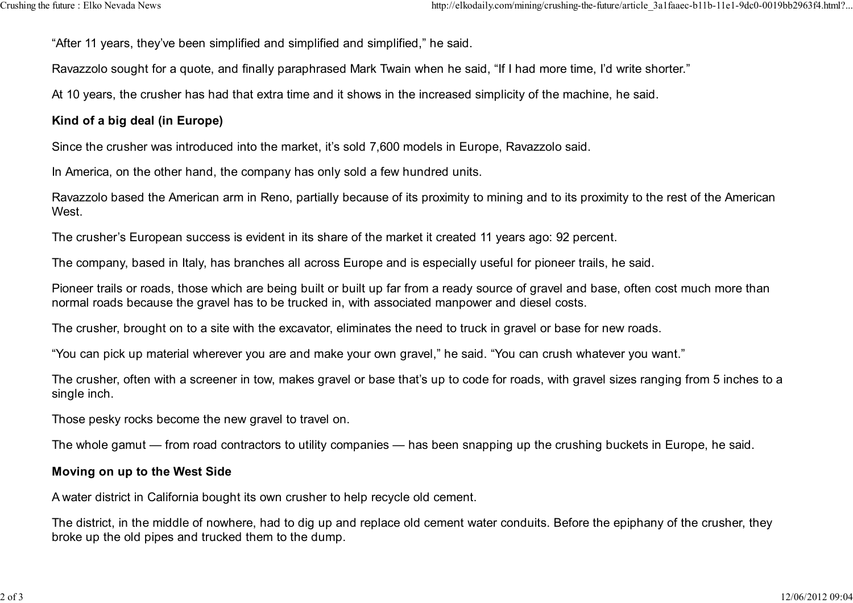"After 11 years, they've been simplified and simplified and simplified," he said.

Ravazzolo sought for a quote, and finally paraphrased Mark Twain when he said, "If I had more time, I'd write shorter."

At 10 years, the crusher has had that extra time and it shows in the increased simplicity of the machine, he said.

### **Kind of a big deal (in Europe)**

Since the crusher was introduced into the market, it's sold 7,600 models in Europe, Ravazzolo said.

In America, on the other hand, the company has only sold a few hundred units.

Ravazzolo based the American arm in Reno, partially because of its proximity to mining and to its proximity to the rest of the AmericanWest.

The crusher's European success is evident in its share of the market it created 11 years ago: 92 percent.

The company, based in Italy, has branches all across Europe and is especially useful for pioneer trails, he said.

Pioneer trails or roads, those which are being built or built up far from a ready source of gravel and base, often cost much more thannormal roads because the gravel has to be trucked in, with associated manpower and diesel costs.

The crusher, brought on to a site with the excavator, eliminates the need to truck in gravel or base for new roads.

"You can pick up material wherever you are and make your own gravel," he said. "You can crush whatever you want."

The crusher, often with a screener in tow, makes gravel or base that's up to code for roads, with gravel sizes ranging from 5 inches to asingle inch.

Those pesky rocks become the new gravel to travel on.

The whole gamut — from road contractors to utility companies — has been snapping up the crushing buckets in Europe, he said.

#### **Moving on up to the West Side**

A water district in California bought its own crusher to help recycle old cement.

The district, in the middle of nowhere, had to dig up and replace old cement water conduits. Before the epiphany of the crusher, theybroke up the old pipes and trucked them to the dump.